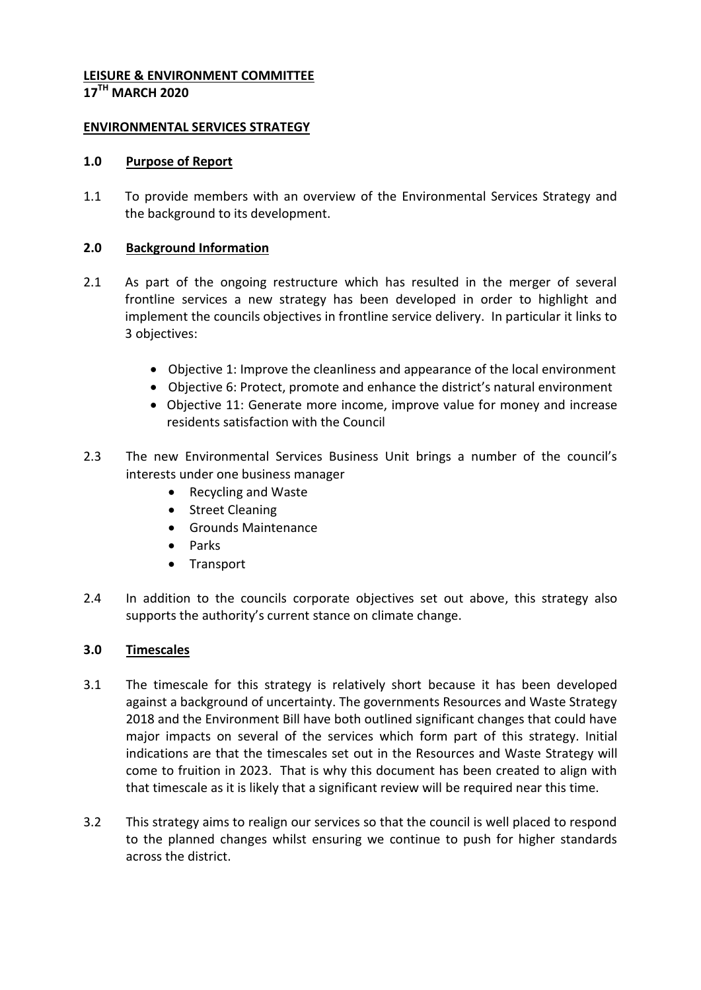#### **LEISURE & ENVIRONMENT COMMITTEE 17TH MARCH 2020**

## **ENVIRONMENTAL SERVICES STRATEGY**

### **1.0 Purpose of Report**

1.1 To provide members with an overview of the Environmental Services Strategy and the background to its development.

### **2.0 Background Information**

- 2.1 As part of the ongoing restructure which has resulted in the merger of several frontline services a new strategy has been developed in order to highlight and implement the councils objectives in frontline service delivery. In particular it links to 3 objectives:
	- Objective 1: Improve the cleanliness and appearance of the local environment
	- Objective 6: Protect, promote and enhance the district's natural environment
	- Objective 11: Generate more income, improve value for money and increase residents satisfaction with the Council
- 2.3 The new Environmental Services Business Unit brings a number of the council's interests under one business manager
	- Recycling and Waste
	- Street Cleaning
	- Grounds Maintenance
	- Parks
	- Transport
- 2.4 In addition to the councils corporate objectives set out above, this strategy also supports the authority's current stance on climate change.

## **3.0 Timescales**

- 3.1 The timescale for this strategy is relatively short because it has been developed against a background of uncertainty. The governments Resources and Waste Strategy 2018 and the Environment Bill have both outlined significant changes that could have major impacts on several of the services which form part of this strategy. Initial indications are that the timescales set out in the Resources and Waste Strategy will come to fruition in 2023. That is why this document has been created to align with that timescale as it is likely that a significant review will be required near this time.
- 3.2 This strategy aims to realign our services so that the council is well placed to respond to the planned changes whilst ensuring we continue to push for higher standards across the district.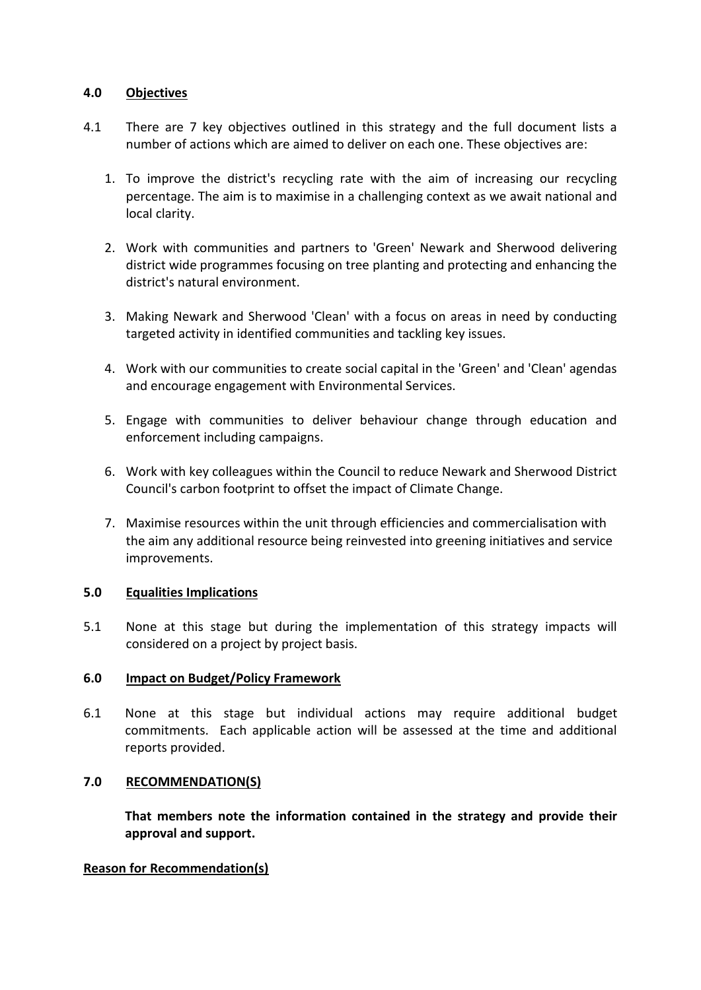## **4.0 Objectives**

- 4.1 There are 7 key objectives outlined in this strategy and the full document lists a number of actions which are aimed to deliver on each one. These objectives are:
	- 1. To improve the district's recycling rate with the aim of increasing our recycling percentage. The aim is to maximise in a challenging context as we await national and local clarity.
	- 2. Work with communities and partners to 'Green' Newark and Sherwood delivering district wide programmes focusing on tree planting and protecting and enhancing the district's natural environment.
	- 3. Making Newark and Sherwood 'Clean' with a focus on areas in need by conducting targeted activity in identified communities and tackling key issues.
	- 4. Work with our communities to create social capital in the 'Green' and 'Clean' agendas and encourage engagement with Environmental Services.
	- 5. Engage with communities to deliver behaviour change through education and enforcement including campaigns.
	- 6. Work with key colleagues within the Council to reduce Newark and Sherwood District Council's carbon footprint to offset the impact of Climate Change.
	- 7. Maximise resources within the unit through efficiencies and commercialisation with the aim any additional resource being reinvested into greening initiatives and service improvements.

# **5.0 Equalities Implications**

5.1 None at this stage but during the implementation of this strategy impacts will considered on a project by project basis.

## **6.0 Impact on Budget/Policy Framework**

6.1 None at this stage but individual actions may require additional budget commitments. Each applicable action will be assessed at the time and additional reports provided.

## **7.0 RECOMMENDATION(S)**

**That members note the information contained in the strategy and provide their approval and support.**

## **Reason for Recommendation(s)**